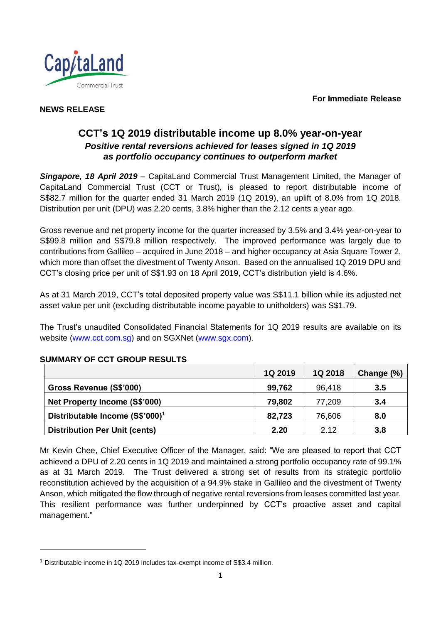**For Immediate Release**



# **NEWS RELEASE**

# **CCT's 1Q 2019 distributable income up 8.0% year-on-year** *Positive rental reversions achieved for leases signed in 1Q 2019 as portfolio occupancy continues to outperform market*

*Singapore, 18 April 2019* – CapitaLand Commercial Trust Management Limited, the Manager of CapitaLand Commercial Trust (CCT or Trust), is pleased to report distributable income of S\$82.7 million for the quarter ended 31 March 2019 (1Q 2019), an uplift of 8.0% from 1Q 2018. Distribution per unit (DPU) was 2.20 cents, 3.8% higher than the 2.12 cents a year ago.

Gross revenue and net property income for the quarter increased by 3.5% and 3.4% year-on-year to S\$99.8 million and S\$79.8 million respectively. The improved performance was largely due to contributions from Gallileo – acquired in June 2018 – and higher occupancy at Asia Square Tower 2, which more than offset the divestment of Twenty Anson. Based on the annualised 1Q 2019 DPU and CCT's closing price per unit of S\$1.93 on 18 April 2019, CCT's distribution yield is 4.6%.

As at 31 March 2019, CCT's total deposited property value was S\$11.1 billion while its adjusted net asset value per unit (excluding distributable income payable to unitholders) was S\$1.79.

The Trust's unaudited Consolidated Financial Statements for 1Q 2019 results are available on its website [\(www.cct.com.sg\)](http://www.cct.com.sg/) and on SGXNet [\(www.sgx.com\)](http://www.sgx.com/).

|                                             | <b>1Q 2019</b> | 1Q 2018 | Change (%) |
|---------------------------------------------|----------------|---------|------------|
| Gross Revenue (S\$'000)                     | 99,762         | 96,418  | 3.5        |
| Net Property Income (S\$'000)               | 79,802         | 77,209  | 3.4        |
| Distributable Income (S\$'000) <sup>1</sup> | 82,723         | 76,606  | 8.0        |
| <b>Distribution Per Unit (cents)</b>        | 2.20           | 2.12    | 3.8        |

## **SUMMARY OF CCT GROUP RESULTS**

l

Mr Kevin Chee, Chief Executive Officer of the Manager, said: "We are pleased to report that CCT achieved a DPU of 2.20 cents in 1Q 2019 and maintained a strong portfolio occupancy rate of 99.1% as at 31 March 2019. The Trust delivered a strong set of results from its strategic portfolio reconstitution achieved by the acquisition of a 94.9% stake in Gallileo and the divestment of Twenty Anson, which mitigated the flow through of negative rental reversions from leases committed last year. This resilient performance was further underpinned by CCT's proactive asset and capital management."

<sup>&</sup>lt;sup>1</sup> Distributable income in 1Q 2019 includes tax-exempt income of S\$3.4 million.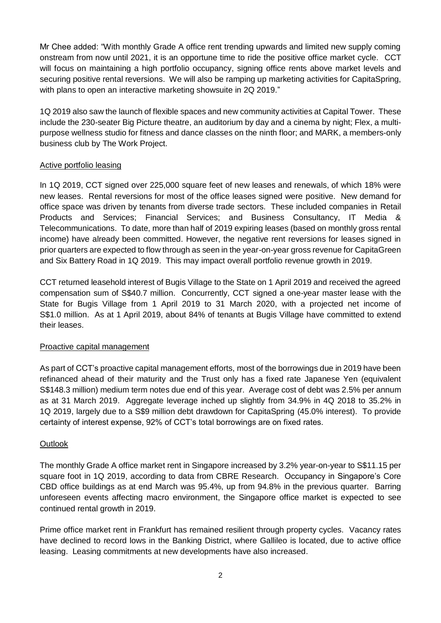Mr Chee added: "With monthly Grade A office rent trending upwards and limited new supply coming onstream from now until 2021, it is an opportune time to ride the positive office market cycle. CCT will focus on maintaining a high portfolio occupancy, signing office rents above market levels and securing positive rental reversions. We will also be ramping up marketing activities for CapitaSpring, with plans to open an interactive marketing showsuite in 2Q 2019."

1Q 2019 also saw the launch of flexible spaces and new community activities at Capital Tower. These include the 230-seater Big Picture theatre, an auditorium by day and a cinema by night; Flex, a multipurpose wellness studio for fitness and dance classes on the ninth floor; and MARK, a members-only business club by The Work Project.

#### Active portfolio leasing

In 1Q 2019, CCT signed over 225,000 square feet of new leases and renewals, of which 18% were new leases. Rental reversions for most of the office leases signed were positive. New demand for office space was driven by tenants from diverse trade sectors. These included companies in Retail Products and Services; Financial Services; and Business Consultancy, IT Media & Telecommunications. To date, more than half of 2019 expiring leases (based on monthly gross rental income) have already been committed. However, the negative rent reversions for leases signed in prior quarters are expected to flow through as seen in the year-on-year gross revenue for CapitaGreen and Six Battery Road in 1Q 2019. This may impact overall portfolio revenue growth in 2019.

CCT returned leasehold interest of Bugis Village to the State on 1 April 2019 and received the agreed compensation sum of S\$40.7 million. Concurrently, CCT signed a one-year master lease with the State for Bugis Village from 1 April 2019 to 31 March 2020, with a projected net income of S\$1.0 million. As at 1 April 2019, about 84% of tenants at Bugis Village have committed to extend their leases.

## Proactive capital management

As part of CCT's proactive capital management efforts, most of the borrowings due in 2019 have been refinanced ahead of their maturity and the Trust only has a fixed rate Japanese Yen (equivalent S\$148.3 million) medium term notes due end of this year. Average cost of debt was 2.5% per annum as at 31 March 2019. Aggregate leverage inched up slightly from 34.9% in 4Q 2018 to 35.2% in 1Q 2019, largely due to a S\$9 million debt drawdown for CapitaSpring (45.0% interest). To provide certainty of interest expense, 92% of CCT's total borrowings are on fixed rates.

## **Outlook**

The monthly Grade A office market rent in Singapore increased by 3.2% year-on-year to S\$11.15 per square foot in 1Q 2019, according to data from CBRE Research. Occupancy in Singapore's Core CBD office buildings as at end March was 95.4%, up from 94.8% in the previous quarter. Barring unforeseen events affecting macro environment, the Singapore office market is expected to see continued rental growth in 2019.

Prime office market rent in Frankfurt has remained resilient through property cycles. Vacancy rates have declined to record lows in the Banking District, where Gallileo is located, due to active office leasing. Leasing commitments at new developments have also increased.